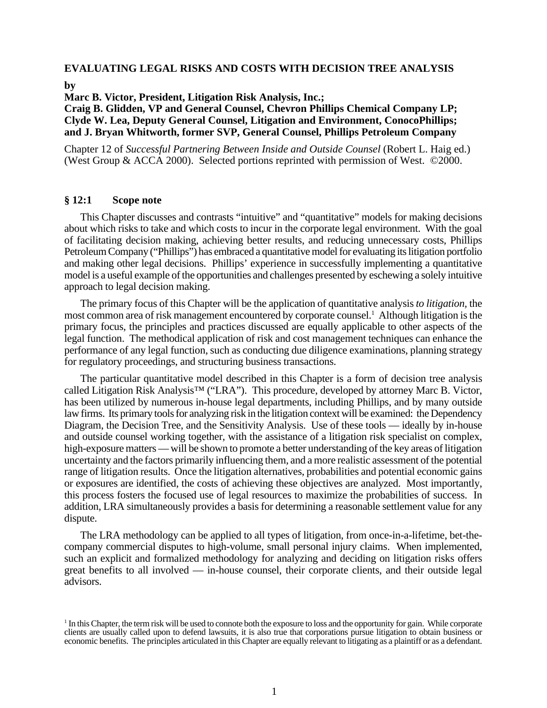# **EVALUATING LEGAL RISKS AND COSTS WITH DECISION TREE ANALYSIS**

**by**

**Marc B. Victor, President, Litigation Risk Analysis, Inc.;**

**Craig B. Glidden, VP and General Counsel, Chevron Phillips Chemical Company LP; Clyde W. Lea, Deputy General Counsel, Litigation and Environment, ConocoPhillips; and J. Bryan Whitworth, former SVP, General Counsel, Phillips Petroleum Company**

Chapter 12 of *Successful Partnering Between Inside and Outside Counsel* (Robert L. Haig ed.) (West Group & ACCA 2000). Selected portions reprinted with permission of West. ©2000.

#### **§ 12:1 Scope note**

This Chapter discusses and contrasts "intuitive" and "quantitative" models for making decisions about which risks to take and which costs to incur in the corporate legal environment. With the goal of facilitating decision making, achieving better results, and reducing unnecessary costs, Phillips Petroleum Company ("Phillips") has embraced a quantitative model for evaluating its litigation portfolio and making other legal decisions. Phillips' experience in successfully implementing a quantitative model is a useful example of the opportunities and challenges presented by eschewing a solely intuitive approach to legal decision making.

The primary focus of this Chapter will be the application of quantitative analysis *to litigation,* the most common area of risk management encountered by corporate counsel.<sup>1</sup> Although litigation is the primary focus, the principles and practices discussed are equally applicable to other aspects of the legal function. The methodical application of risk and cost management techniques can enhance the performance of any legal function, such as conducting due diligence examinations, planning strategy for regulatory proceedings, and structuring business transactions.

The particular quantitative model described in this Chapter is a form of decision tree analysis called Litigation Risk Analysis™ ("LRA"). This procedure, developed by attorney Marc B. Victor, has been utilized by numerous in-house legal departments, including Phillips, and by many outside law firms. Its primary tools for analyzing risk in the litigation context will be examined: the Dependency Diagram, the Decision Tree, and the Sensitivity Analysis. Use of these tools — ideally by in-house and outside counsel working together, with the assistance of a litigation risk specialist on complex, high-exposure matters — will be shown to promote a better understanding of the key areas of litigation uncertainty and the factors primarily influencing them, and a more realistic assessment of the potential range of litigation results. Once the litigation alternatives, probabilities and potential economic gains or exposures are identified, the costs of achieving these objectives are analyzed. Most importantly, this process fosters the focused use of legal resources to maximize the probabilities of success. In addition, LRA simultaneously provides a basis for determining a reasonable settlement value for any dispute.

The LRA methodology can be applied to all types of litigation, from once-in-a-lifetime, bet-thecompany commercial disputes to high-volume, small personal injury claims. When implemented, such an explicit and formalized methodology for analyzing and deciding on litigation risks offers great benefits to all involved — in-house counsel, their corporate clients, and their outside legal advisors.

<sup>1</sup> In this Chapter, the term risk will be used to connote both the exposure to loss and the opportunity for gain. While corporate clients are usually called upon to defend lawsuits, it is also true that corporations pursue litigation to obtain business or economic benefits. The principles articulated in this Chapter are equally relevant to litigating as a plaintiff or as a defendant.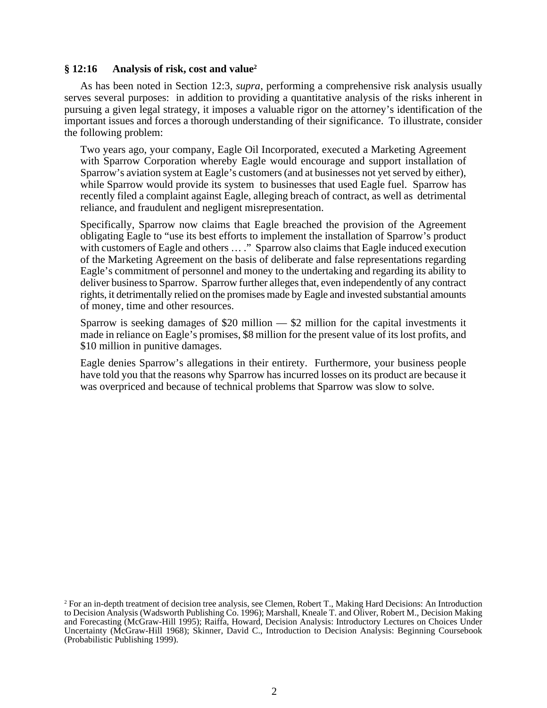# **§ 12:16 Analysis of risk, cost and value2**

As has been noted in Section 12:3, *supra*, performing a comprehensive risk analysis usually serves several purposes: in addition to providing a quantitative analysis of the risks inherent in pursuing a given legal strategy, it imposes a valuable rigor on the attorney's identification of the important issues and forces a thorough understanding of their significance. To illustrate, consider the following problem:

Two years ago, your company, Eagle Oil Incorporated, executed a Marketing Agreement with Sparrow Corporation whereby Eagle would encourage and support installation of Sparrow's aviation system at Eagle's customers (and at businesses not yet served by either), while Sparrow would provide its system to businesses that used Eagle fuel. Sparrow has recently filed a complaint against Eagle, alleging breach of contract, as well as detrimental reliance, and fraudulent and negligent misrepresentation.

Specifically, Sparrow now claims that Eagle breached the provision of the Agreement obligating Eagle to "use its best efforts to implement the installation of Sparrow's product with customers of Eagle and others ...." Sparrow also claims that Eagle induced execution of the Marketing Agreement on the basis of deliberate and false representations regarding Eagle's commitment of personnel and money to the undertaking and regarding its ability to deliver business to Sparrow. Sparrow further alleges that, even independently of any contract rights, it detrimentally relied on the promises made by Eagle and invested substantial amounts of money, time and other resources.

Sparrow is seeking damages of \$20 million — \$2 million for the capital investments it made in reliance on Eagle's promises, \$8 million for the present value of its lost profits, and \$10 million in punitive damages.

Eagle denies Sparrow's allegations in their entirety. Furthermore, your business people have told you that the reasons why Sparrow has incurred losses on its product are because it was overpriced and because of technical problems that Sparrow was slow to solve.

<sup>2</sup> For an in-depth treatment of decision tree analysis, see Clemen, Robert T., Making Hard Decisions: An Introduction to Decision Analysis (Wadsworth Publishing Co. 1996); Marshall, Kneale T. and Oliver, Robert M., Decision Making and Forecasting (McGraw-Hill 1995); Raiffa, Howard, Decision Analysis: Introductory Lectures on Choices Under Uncertainty (McGraw-Hill 1968); Skinner, David C., Introduction to Decision Analysis: Beginning Coursebook (Probabilistic Publishing 1999).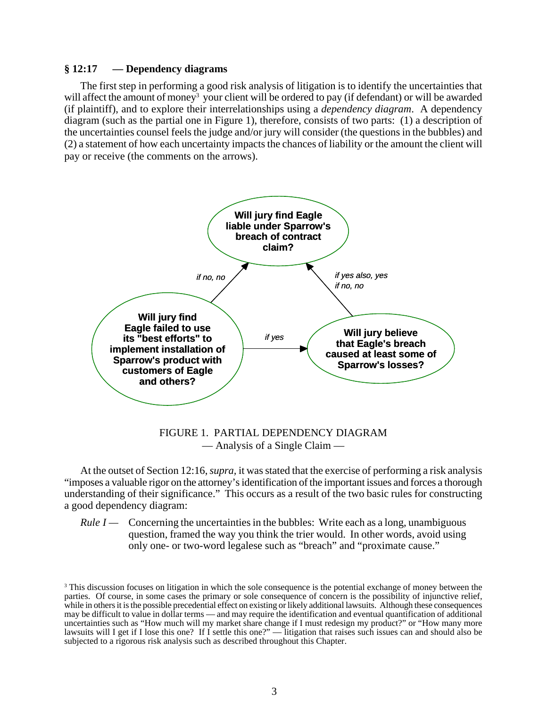# **§ 12:17 — Dependency diagrams**

The first step in performing a good risk analysis of litigation is to identify the uncertainties that will affect the amount of money<sup>3</sup> your client will be ordered to pay (if defendant) or will be awarded (if plaintiff), and to explore their interrelationships using a *dependency diagram*. A dependency diagram (such as the partial one in Figure 1), therefore, consists of two parts: (1) a description of the uncertainties counsel feels the judge and/or jury will consider (the questions in the bubbles) and (2) a statement of how each uncertainty impacts the chances of liability or the amount the client will pay or receive (the comments on the arrows).



FIGURE 1. PARTIAL DEPENDENCY DIAGRAM — Analysis of a Single Claim —

At the outset of Section 12:16, *supra,* it was stated that the exercise of performing a risk analysis "imposes a valuable rigor on the attorney's identification of the important issues and forces a thorough understanding of their significance." This occurs as a result of the two basic rules for constructing a good dependency diagram:

*Rule I* — Concerning the uncertainties in the bubbles: Write each as a long, unambiguous question, framed the way you think the trier would. In other words, avoid using only one- or two-word legalese such as "breach" and "proximate cause."

<sup>&</sup>lt;sup>3</sup> This discussion focuses on litigation in which the sole consequence is the potential exchange of money between the parties. Of course, in some cases the primary or sole consequence of concern is the possibility of injunctive relief, while in others it is the possible precedential effect on existing or likely additional lawsuits. Although these consequences may be difficult to value in dollar terms — and may require the identification and eventual quantification of additional uncertainties such as "How much will my market share change if I must redesign my product?" or "How many more lawsuits will I get if I lose this one? If I settle this one?" — litigation that raises such issues can and should also be subjected to a rigorous risk analysis such as described throughout this Chapter.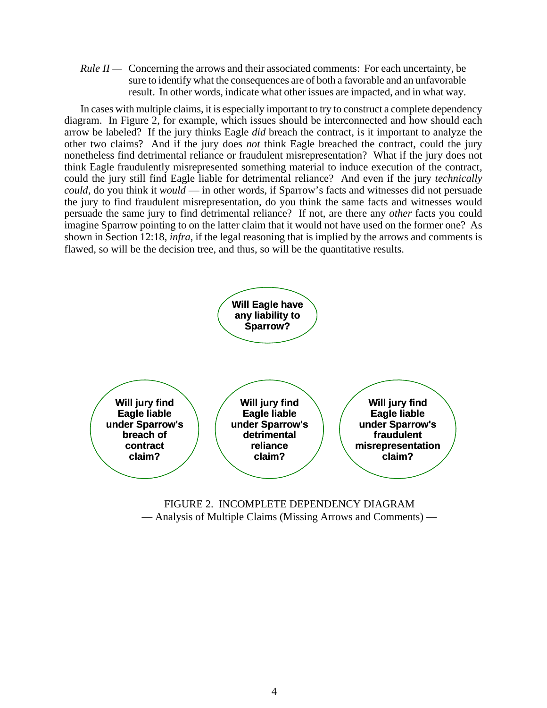*Rule II* — Concerning the arrows and their associated comments: For each uncertainty, be sure to identify what the consequences are of both a favorable and an unfavorable result. In other words, indicate what other issues are impacted, and in what way.

In cases with multiple claims, it is especially important to try to construct a complete dependency diagram. In Figure 2, for example, which issues should be interconnected and how should each arrow be labeled? If the jury thinks Eagle *did* breach the contract, is it important to analyze the other two claims? And if the jury does *not* think Eagle breached the contract, could the jury nonetheless find detrimental reliance or fraudulent misrepresentation? What if the jury does not think Eagle fraudulently misrepresented something material to induce execution of the contract, could the jury still find Eagle liable for detrimental reliance? And even if the jury *technically could*, do you think it *would* — in other words, if Sparrow's facts and witnesses did not persuade the jury to find fraudulent misrepresentation, do you think the same facts and witnesses would persuade the same jury to find detrimental reliance? If not, are there any *other* facts you could imagine Sparrow pointing to on the latter claim that it would not have used on the former one? As shown in Section 12:18, *infra*, if the legal reasoning that is implied by the arrows and comments is flawed, so will be the decision tree, and thus, so will be the quantitative results.



FIGURE 2. INCOMPLETE DEPENDENCY DIAGRAM — Analysis of Multiple Claims (Missing Arrows and Comments) —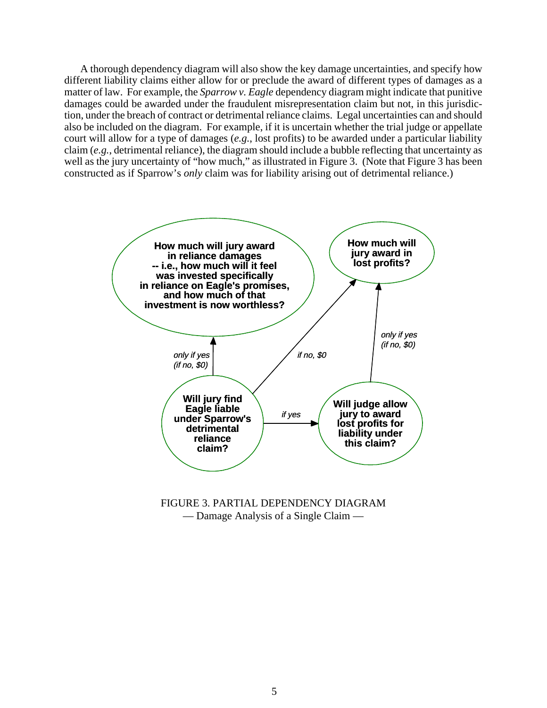A thorough dependency diagram will also show the key damage uncertainties, and specify how different liability claims either allow for or preclude the award of different types of damages as a matter of law. For example, the *Sparrow v. Eagle* dependency diagram might indicate that punitive damages could be awarded under the fraudulent misrepresentation claim but not, in this jurisdiction, under the breach of contract or detrimental reliance claims. Legal uncertainties can and should also be included on the diagram. For example, if it is uncertain whether the trial judge or appellate court will allow for a type of damages (*e.g.*, lost profits) to be awarded under a particular liability claim (*e.g.*, detrimental reliance), the diagram should include a bubble reflecting that uncertainty as well as the jury uncertainty of "how much," as illustrated in Figure 3. (Note that Figure 3 has been constructed as if Sparrow's *only* claim was for liability arising out of detrimental reliance.)



FIGURE 3. PARTIAL DEPENDENCY DIAGRAM — Damage Analysis of a Single Claim —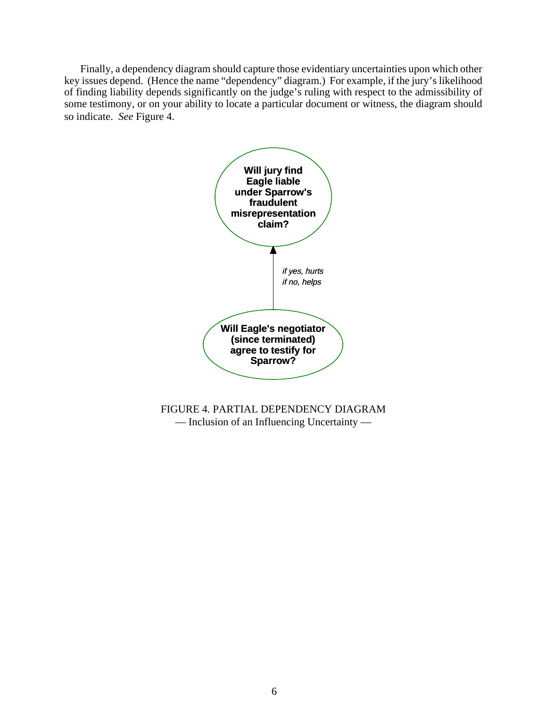Finally, a dependency diagram should capture those evidentiary uncertainties upon which other key issues depend. (Hence the name "dependency" diagram.) For example, if the jury's likelihood of finding liability depends significantly on the judge's ruling with respect to the admissibility of some testimony, or on your ability to locate a particular document or witness, the diagram should so indicate. *See* Figure 4.



FIGURE 4. PARTIAL DEPENDENCY DIAGRAM — Inclusion of an Influencing Uncertainty —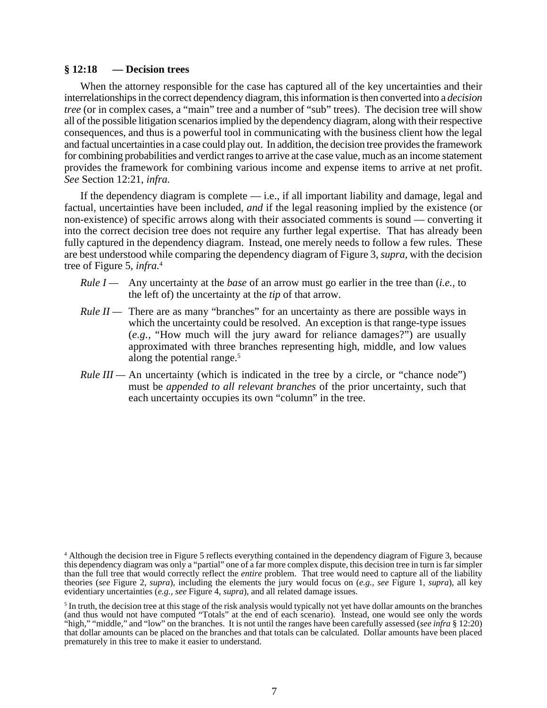#### **§ 12:18 — Decision trees**

When the attorney responsible for the case has captured all of the key uncertainties and their interrelationships in the correct dependency diagram, this information is then converted into a *decision tree* (or in complex cases, a "main" tree and a number of "sub" trees). The decision tree will show all of the possible litigation scenarios implied by the dependency diagram, along with their respective consequences, and thus is a powerful tool in communicating with the business client how the legal and factual uncertainties in a case could play out. In addition, the decision tree provides the framework for combining probabilities and verdict ranges to arrive at the case value, much as an income statement provides the framework for combining various income and expense items to arrive at net profit. *See* Section 12:21, *infra.*

If the dependency diagram is complete — i.e., if all important liability and damage, legal and factual, uncertainties have been included, *and* if the legal reasoning implied by the existence (or non-existence) of specific arrows along with their associated comments is sound — converting it into the correct decision tree does not require any further legal expertise. That has already been fully captured in the dependency diagram. Instead, one merely needs to follow a few rules. These are best understood while comparing the dependency diagram of Figure 3, *supra,* with the decision tree of Figure 5, *infra.*<sup>4</sup>

- *Rule I —* Any uncertainty at the *base* of an arrow must go earlier in the tree than (*i.e.,* to the left of) the uncertainty at the *tip* of that arrow.
- *Rule II* There are as many "branches" for an uncertainty as there are possible ways in which the uncertainty could be resolved. An exception is that range-type issues (*e.g.,* "How much will the jury award for reliance damages?") are usually approximated with three branches representing high, middle, and low values along the potential range.<sup>5</sup>
- *Rule III* An uncertainty (which is indicated in the tree by a circle, or "chance node") must be *appended to all relevant branches* of the prior uncertainty, such that each uncertainty occupies its own "column" in the tree.

<sup>4</sup> Although the decision tree in Figure 5 reflects everything contained in the dependency diagram of Figure 3, because this dependency diagram was only a "partial" one of a far more complex dispute, this decision tree in turn is far simpler than the full tree that would correctly reflect the *entire* problem. That tree would need to capture all of the liability theories (*see* Figure 2, *supra*), including the elements the jury would focus on (*e.g., see* Figure 1, *supra*), all key evidentiary uncertainties (*e.g., see* Figure 4, *supra*), and all related damage issues.

 $<sup>5</sup>$  In truth, the decision tree at this stage of the risk analysis would typically not yet have dollar amounts on the branches</sup> (and thus would not have computed "Totals" at the end of each scenario). Instead, one would see only the words "high," "middle," and "low" on the branches. It is not until the ranges have been carefully assessed (*see infra* § 12:20) that dollar amounts can be placed on the branches and that totals can be calculated. Dollar amounts have been placed prematurely in this tree to make it easier to understand.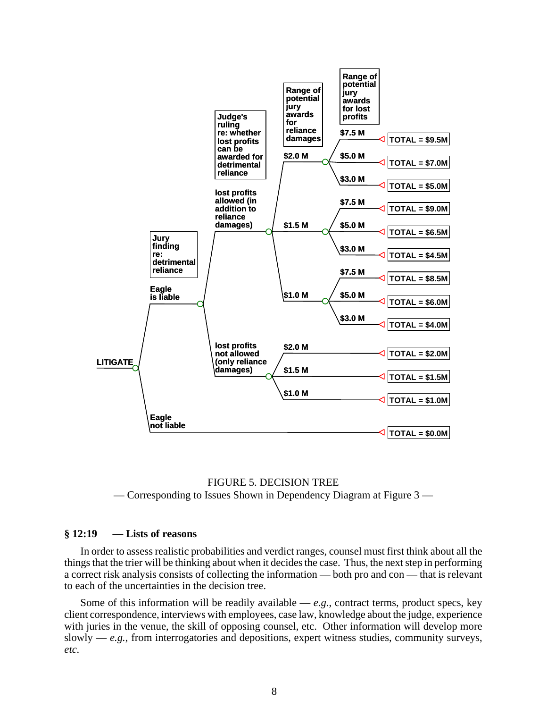

FIGURE 5. DECISION TREE — Corresponding to Issues Shown in Dependency Diagram at Figure 3 —

# **§ 12:19 — Lists of reasons**

In order to assess realistic probabilities and verdict ranges, counsel must first think about all the things that the trier will be thinking about when it decides the case. Thus, the next step in performing a correct risk analysis consists of collecting the information — both pro and con — that is relevant to each of the uncertainties in the decision tree.

Some of this information will be readily available  $-e.g.,$  contract terms, product specs, key client correspondence, interviews with employees, case law, knowledge about the judge, experience with juries in the venue, the skill of opposing counsel, etc. Other information will develop more slowly —  $e.g.,$  from interrogatories and depositions, expert witness studies, community surveys, *etc*.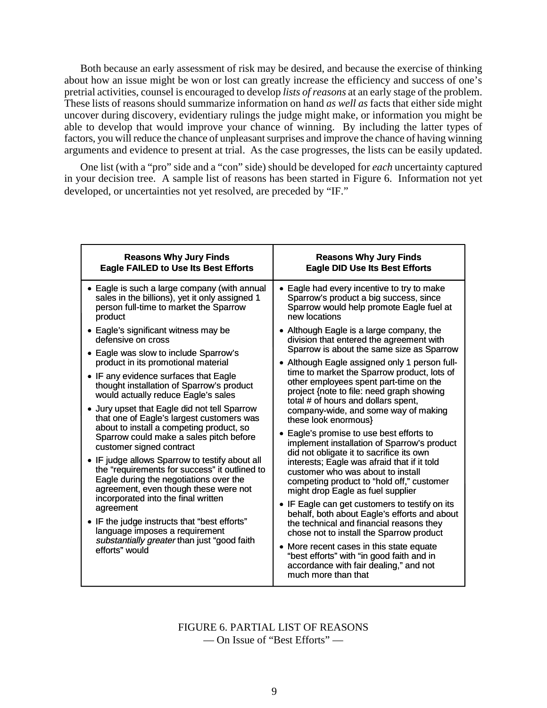Both because an early assessment of risk may be desired, and because the exercise of thinking about how an issue might be won or lost can greatly increase the efficiency and success of one's pretrial activities, counsel is encouraged to develop *lists of reasons* at an early stage of the problem. These lists of reasons should summarize information on hand *as well as* facts that either side might uncover during discovery, evidentiary rulings the judge might make, or information you might be able to develop that would improve your chance of winning. By including the latter types of factors, you will reduce the chance of unpleasant surprises and improve the chance of having winning arguments and evidence to present at trial. As the case progresses, the lists can be easily updated.

One list (with a "pro" side and a "con" side) should be developed for *each* uncertainty captured in your decision tree. A sample list of reasons has been started in Figure 6. Information not yet developed, or uncertainties not yet resolved, are preceded by "IF."

| <b>Reasons Why Jury Finds</b>                                                                                                                                                                                                                                                                                                                                                                                                                                                                                                                                                                                                                                                                                                                                                                                                                                                                                                                                                                                                             | <b>Reasons Why Jury Finds</b>                                                                                                                                                                                                                                                                                                                                                                                                                                                                                                                                                                                                                                                                                                                                                                                                                                                                                                                                                                                                                                                                                                                                                                                                                       |
|-------------------------------------------------------------------------------------------------------------------------------------------------------------------------------------------------------------------------------------------------------------------------------------------------------------------------------------------------------------------------------------------------------------------------------------------------------------------------------------------------------------------------------------------------------------------------------------------------------------------------------------------------------------------------------------------------------------------------------------------------------------------------------------------------------------------------------------------------------------------------------------------------------------------------------------------------------------------------------------------------------------------------------------------|-----------------------------------------------------------------------------------------------------------------------------------------------------------------------------------------------------------------------------------------------------------------------------------------------------------------------------------------------------------------------------------------------------------------------------------------------------------------------------------------------------------------------------------------------------------------------------------------------------------------------------------------------------------------------------------------------------------------------------------------------------------------------------------------------------------------------------------------------------------------------------------------------------------------------------------------------------------------------------------------------------------------------------------------------------------------------------------------------------------------------------------------------------------------------------------------------------------------------------------------------------|
| <b>Eagle FAILED to Use Its Best Efforts</b>                                                                                                                                                                                                                                                                                                                                                                                                                                                                                                                                                                                                                                                                                                                                                                                                                                                                                                                                                                                               | <b>Eagle DID Use Its Best Efforts</b>                                                                                                                                                                                                                                                                                                                                                                                                                                                                                                                                                                                                                                                                                                                                                                                                                                                                                                                                                                                                                                                                                                                                                                                                               |
| • Eagle is such a large company (with annual<br>sales in the billions), yet it only assigned 1<br>person full-time to market the Sparrow<br>product<br>• Eagle's significant witness may be<br>defensive on cross<br>• Eagle was slow to include Sparrow's<br>product in its promotional material<br>• IF any evidence surfaces that Eagle<br>thought installation of Sparrow's product<br>would actually reduce Eagle's sales<br>Jury upset that Eagle did not tell Sparrow<br>that one of Eagle's largest customers was<br>about to install a competing product, so<br>Sparrow could make a sales pitch before<br>customer signed contract<br>• IF judge allows Sparrow to testify about all<br>the "requirements for success" it outlined to<br>Eagle during the negotiations over the<br>agreement, even though these were not<br>incorporated into the final written<br>agreement<br>• IF the judge instructs that "best efforts"<br>language imposes a requirement<br>substantially greater than just "good faith<br>efforts" would | • Eagle had every incentive to try to make<br>Sparrow's product a big success, since<br>Sparrow would help promote Eagle fuel at<br>new locations<br>• Although Eagle is a large company, the<br>division that entered the agreement with<br>Sparrow is about the same size as Sparrow<br>• Although Eagle assigned only 1 person full-<br>time to market the Sparrow product, lots of<br>other employees spent part-time on the<br>project {note to file: need graph showing<br>total # of hours and dollars spent,<br>company-wide, and some way of making<br>these look enormous}<br>• Eagle's promise to use best efforts to<br>implement installation of Sparrow's product<br>did not obligate it to sacrifice its own<br>interests; Eagle was afraid that if it told<br>customer who was about to install<br>competing product to "hold off," customer<br>might drop Eagle as fuel supplier<br>• IF Eagle can get customers to testify on its<br>behalf, both about Eagle's efforts and about<br>the technical and financial reasons they<br>chose not to install the Sparrow product<br>More recent cases in this state equate<br>"best efforts" with "in good faith and in<br>accordance with fair dealing," and not<br>much more than that |

FIGURE 6. PARTIAL LIST OF REASONS — On Issue of "Best Efforts" —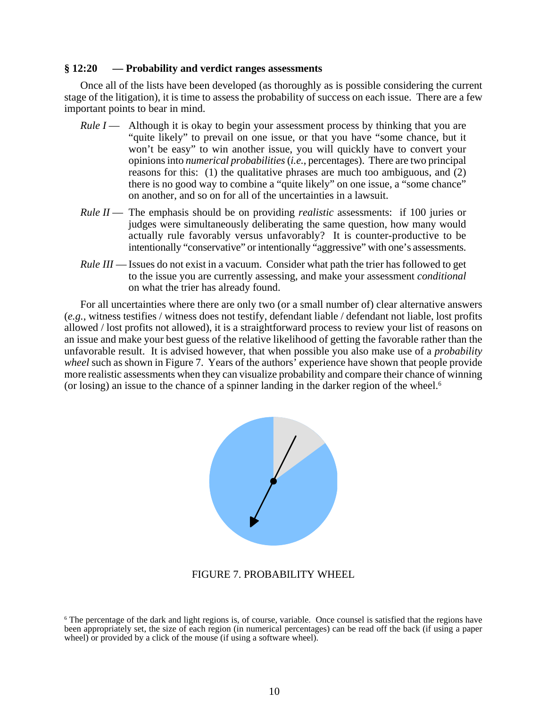## **§ 12:20 — Probability and verdict ranges assessments**

Once all of the lists have been developed (as thoroughly as is possible considering the current stage of the litigation), it is time to assess the probability of success on each issue. There are a few important points to bear in mind.

- *Rule I* Although it is okay to begin your assessment process by thinking that you are "quite likely" to prevail on one issue, or that you have "some chance, but it won't be easy" to win another issue, you will quickly have to convert your opinions into *numerical probabilities* (*i.e.*, percentages). There are two principal reasons for this: (1) the qualitative phrases are much too ambiguous, and (2) there is no good way to combine a "quite likely" on one issue, a "some chance" on another, and so on for all of the uncertainties in a lawsuit.
- *Rule II* The emphasis should be on providing *realistic* assessments: if 100 juries or judges were simultaneously deliberating the same question, how many would actually rule favorably versus unfavorably? It is counter-productive to be intentionally "conservative" or intentionally "aggressive" with one's assessments.
- *Rule III* Issues do not exist in a vacuum. Consider what path the trier has followed to get to the issue you are currently assessing, and make your assessment *conditional* on what the trier has already found.

For all uncertainties where there are only two (or a small number of) clear alternative answers (*e.g.*, witness testifies / witness does not testify, defendant liable / defendant not liable, lost profits allowed / lost profits not allowed), it is a straightforward process to review your list of reasons on an issue and make your best guess of the relative likelihood of getting the favorable rather than the unfavorable result. It is advised however, that when possible you also make use of a *probability wheel* such as shown in Figure 7. Years of the authors' experience have shown that people provide more realistic assessments when they can visualize probability and compare their chance of winning (or losing) an issue to the chance of a spinner landing in the darker region of the wheel.<sup>6</sup>



# FIGURE 7. PROBABILITY WHEEL

<sup>6</sup> The percentage of the dark and light regions is, of course, variable. Once counsel is satisfied that the regions have been appropriately set, the size of each region (in numerical percentages) can be read off the back (if using a paper wheel) or provided by a click of the mouse (if using a software wheel).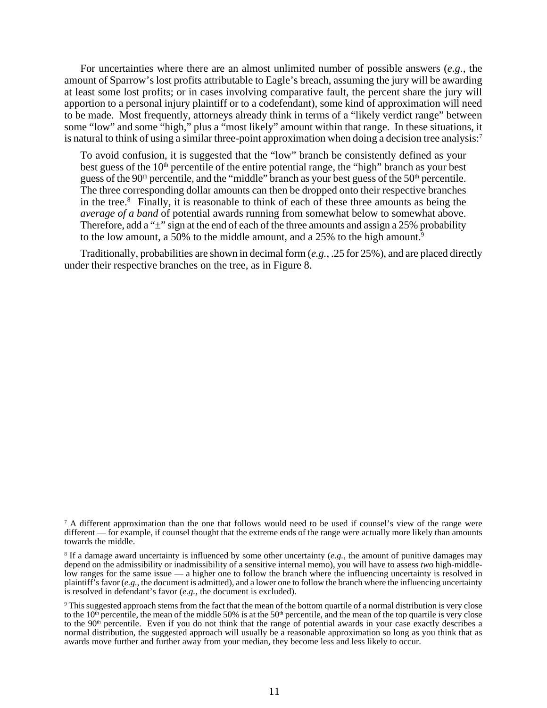For uncertainties where there are an almost unlimited number of possible answers (*e.g.*, the amount of Sparrow's lost profits attributable to Eagle's breach, assuming the jury will be awarding at least some lost profits; or in cases involving comparative fault, the percent share the jury will apportion to a personal injury plaintiff or to a codefendant), some kind of approximation will need to be made. Most frequently, attorneys already think in terms of a "likely verdict range" between some "low" and some "high," plus a "most likely" amount within that range. In these situations, it is natural to think of using a similar three-point approximation when doing a decision tree analysis:<sup>7</sup>

To avoid confusion, it is suggested that the "low" branch be consistently defined as your best guess of the  $10<sup>th</sup>$  percentile of the entire potential range, the "high" branch as your best guess of the 90<sup>th</sup> percentile, and the "middle" branch as your best guess of the 50<sup>th</sup> percentile. The three corresponding dollar amounts can then be dropped onto their respective branches in the tree.<sup>8</sup> Finally, it is reasonable to think of each of these three amounts as being the *average of a band* of potential awards running from somewhat below to somewhat above. Therefore, add a " $\pm$ " sign at the end of each of the three amounts and assign a 25% probability to the low amount, a 50% to the middle amount, and a 25% to the high amount.<sup>9</sup>

Traditionally, probabilities are shown in decimal form (*e.g.*, .25 for 25%), and are placed directly under their respective branches on the tree, as in Figure 8.

<sup>&</sup>lt;sup>7</sup> A different approximation than the one that follows would need to be used if counsel's view of the range were different — for example, if counsel thought that the extreme ends of the range were actually more likely than amounts towards the middle.

<sup>8</sup> If a damage award uncertainty is influenced by some other uncertainty (*e.g.*, the amount of punitive damages may depend on the admissibility or inadmissibility of a sensitive internal memo), you will have to assess *two* high-middlelow ranges for the same issue — a higher one to follow the branch where the influencing uncertainty is resolved in plaintiff's favor ( $e.g.,$  the document is admitted), and a lower one to follow the branch where the influencing uncertainty is resolved in defendant's favor (*e.g.*, the document is excluded).

<sup>9</sup> This suggested approach stems from the fact that the mean of the bottom quartile of a normal distribution is very close to the  $10<sup>th</sup>$  percentile, the mean of the middle 50% is at the 50<sup>th</sup> percentile, and the mean of the top quartile is very close to the 90<sup>th</sup> percentile. Even if you do not think that the range of potential awards in your case exactly describes a normal distribution, the suggested approach will usually be a reasonable approximation so long as you think that as awards move further and further away from your median, they become less and less likely to occur.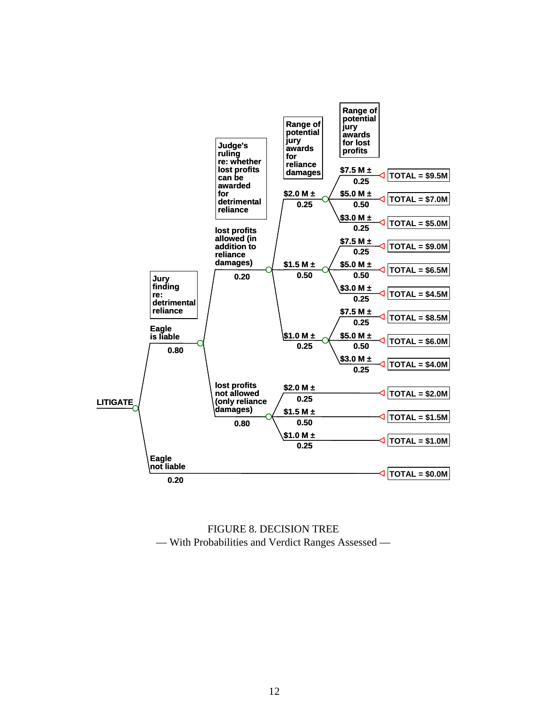

FIGURE 8. DECISION TREE — With Probabilities and Verdict Ranges Assessed —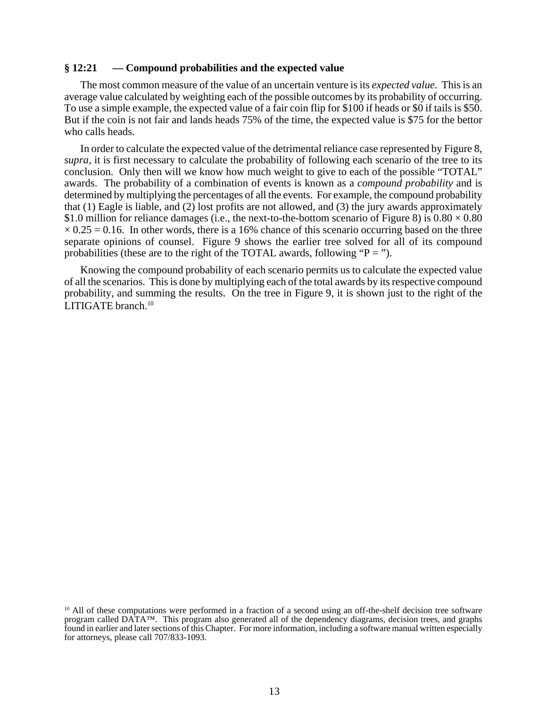## **§ 12:21 — Compound probabilities and the expected value**

The most common measure of the value of an uncertain venture is its *expected value.* This is an average value calculated by weighting each of the possible outcomes by its probability of occurring. To use a simple example, the expected value of a fair coin flip for \$100 if heads or \$0 if tails is \$50. But if the coin is not fair and lands heads 75% of the time, the expected value is \$75 for the bettor who calls heads.

In order to calculate the expected value of the detrimental reliance case represented by Figure 8, *supra*, it is first necessary to calculate the probability of following each scenario of the tree to its conclusion. Only then will we know how much weight to give to each of the possible "TOTAL" awards. The probability of a combination of events is known as a *compound probability* and is determined by multiplying the percentages of all the events. For example, the compound probability that (1) Eagle is liable, and (2) lost profits are not allowed, and (3) the jury awards approximately \$1.0 million for reliance damages (i.e., the next-to-the-bottom scenario of Figure 8) is  $0.80 \times 0.80$  $\times$  0.25 = 0.16. In other words, there is a 16% chance of this scenario occurring based on the three separate opinions of counsel. Figure 9 shows the earlier tree solved for all of its compound probabilities (these are to the right of the TOTAL awards, following " $P =$ ").

Knowing the compound probability of each scenario permits us to calculate the expected value of all the scenarios. This is done by multiplying each of the total awards by its respective compound probability, and summing the results. On the tree in Figure 9, it is shown just to the right of the LITIGATE branch.<sup>10</sup>

 $10$  All of these computations were performed in a fraction of a second using an off-the-shelf decision tree software program called DATA™. This program also generated all of the dependency diagrams, decision trees, and graphs found in earlier and later sections of this Chapter. For more information, including a software manual written especially for attorneys, please call 707/833-1093.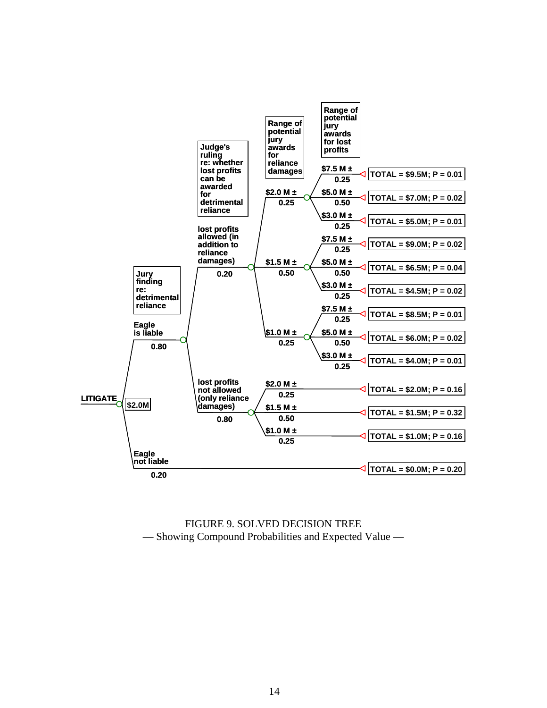

FIGURE 9. SOLVED DECISION TREE — Showing Compound Probabilities and Expected Value —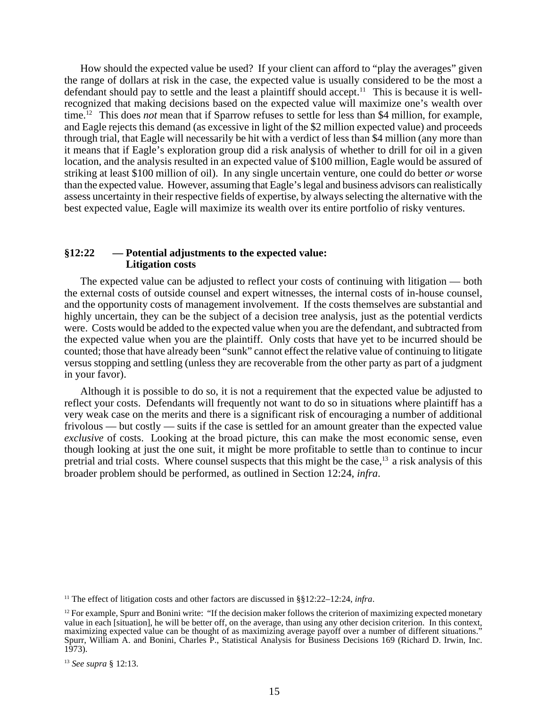How should the expected value be used? If your client can afford to "play the averages" given the range of dollars at risk in the case, the expected value is usually considered to be the most a defendant should pay to settle and the least a plaintiff should accept.<sup>11</sup> This is because it is wellrecognized that making decisions based on the expected value will maximize one's wealth over time.12 This does *not* mean that if Sparrow refuses to settle for less than \$4 million, for example, and Eagle rejects this demand (as excessive in light of the \$2 million expected value) and proceeds through trial, that Eagle will necessarily be hit with a verdict of less than \$4 million (any more than it means that if Eagle's exploration group did a risk analysis of whether to drill for oil in a given location, and the analysis resulted in an expected value of \$100 million, Eagle would be assured of striking at least \$100 million of oil). In any single uncertain venture, one could do better *or* worse than the expected value. However, assuming that Eagle's legal and business advisors can realistically assess uncertainty in their respective fields of expertise, by always selecting the alternative with the best expected value, Eagle will maximize its wealth over its entire portfolio of risky ventures.

# **§12:22 — Potential adjustments to the expected value: Litigation costs**

The expected value can be adjusted to reflect your costs of continuing with litigation — both the external costs of outside counsel and expert witnesses, the internal costs of in-house counsel, and the opportunity costs of management involvement. If the costs themselves are substantial and highly uncertain, they can be the subject of a decision tree analysis, just as the potential verdicts were. Costs would be added to the expected value when you are the defendant, and subtracted from the expected value when you are the plaintiff. Only costs that have yet to be incurred should be counted; those that have already been "sunk" cannot effect the relative value of continuing to litigate versus stopping and settling (unless they are recoverable from the other party as part of a judgment in your favor).

Although it is possible to do so, it is not a requirement that the expected value be adjusted to reflect your costs. Defendants will frequently not want to do so in situations where plaintiff has a very weak case on the merits and there is a significant risk of encouraging a number of additional frivolous — but costly — suits if the case is settled for an amount greater than the expected value *exclusive* of costs. Looking at the broad picture, this can make the most economic sense, even though looking at just the one suit, it might be more profitable to settle than to continue to incur pretrial and trial costs. Where counsel suspects that this might be the case,<sup>13</sup> a risk analysis of this broader problem should be performed, as outlined in Section 12:24, *infra*.

<sup>11</sup> The effect of litigation costs and other factors are discussed in §§12:22–12:24, *infra*.

 $12$  For example, Spurr and Bonini write: "If the decision maker follows the criterion of maximizing expected monetary value in each [situation], he will be better off, on the average, than using any other decision criterion. In this context, maximizing expected value can be thought of as maximizing average payoff over a number of different situations." Spurr, William A. and Bonini, Charles P., Statistical Analysis for Business Decisions 169 (Richard D. Irwin, Inc. 1973).

<sup>13</sup> *See supra* § 12:13.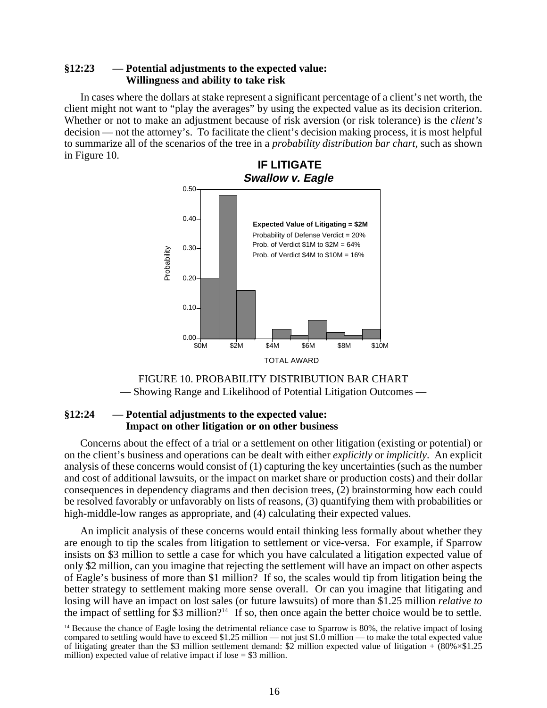# **§12:23 — Potential adjustments to the expected value: Willingness and ability to take risk**

In cases where the dollars at stake represent a significant percentage of a client's net worth, the client might not want to "play the averages" by using the expected value as its decision criterion. Whether or not to make an adjustment because of risk aversion (or risk tolerance) is the *client's* decision — not the attorney's. To facilitate the client's decision making process, it is most helpful to summarize all of the scenarios of the tree in a *probability distribution bar chart,* such as shown in Figure 10.





# **§12:24 — Potential adjustments to the expected value: Impact on other litigation or on other business**

Concerns about the effect of a trial or a settlement on other litigation (existing or potential) or on the client's business and operations can be dealt with either *explicitly* or *implicitly*. An explicit analysis of these concerns would consist of (1) capturing the key uncertainties (such as the number and cost of additional lawsuits, or the impact on market share or production costs) and their dollar consequences in dependency diagrams and then decision trees, (2) brainstorming how each could be resolved favorably or unfavorably on lists of reasons, (3) quantifying them with probabilities or high-middle-low ranges as appropriate, and (4) calculating their expected values.

An implicit analysis of these concerns would entail thinking less formally about whether they are enough to tip the scales from litigation to settlement or vice-versa. For example, if Sparrow insists on \$3 million to settle a case for which you have calculated a litigation expected value of only \$2 million, can you imagine that rejecting the settlement will have an impact on other aspects of Eagle's business of more than \$1 million? If so, the scales would tip from litigation being the better strategy to settlement making more sense overall. Or can you imagine that litigating and losing will have an impact on lost sales (or future lawsuits) of more than \$1.25 million *relative to* the impact of settling for \$3 million?<sup>14</sup> If so, then once again the better choice would be to settle.

<sup>&</sup>lt;sup>14</sup> Because the chance of Eagle losing the detrimental reliance case to Sparrow is 80%, the relative impact of losing compared to settling would have to exceed \$1.25 million — not just \$1.0 million — to make the total expected value of litigating greater than the \$3 million settlement demand: \$2 million expected value of litigation +  $(80\% \times $1.25$ million) expected value of relative impact if lose  $= $3$  million.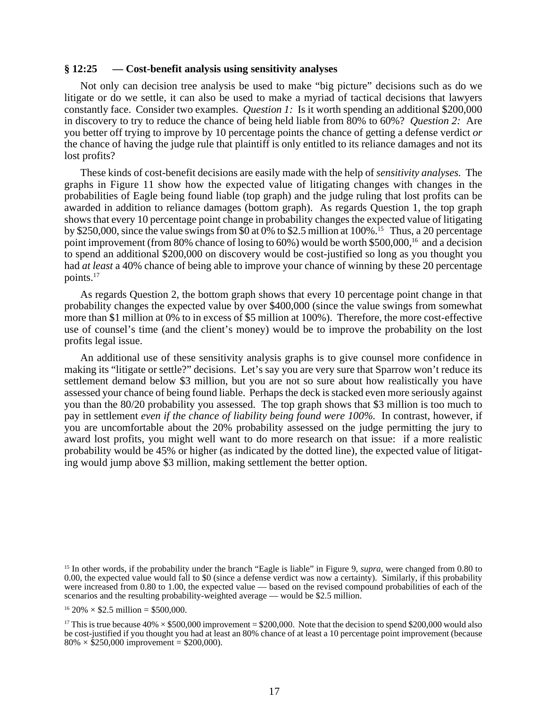#### **§ 12:25 — Cost-benefit analysis using sensitivity analyses**

Not only can decision tree analysis be used to make "big picture" decisions such as do we litigate or do we settle, it can also be used to make a myriad of tactical decisions that lawyers constantly face. Consider two examples. *Question 1:* Is it worth spending an additional \$200,000 in discovery to try to reduce the chance of being held liable from 80% to 60%? *Question 2:* Are you better off trying to improve by 10 percentage points the chance of getting a defense verdict *or* the chance of having the judge rule that plaintiff is only entitled to its reliance damages and not its lost profits?

These kinds of cost-benefit decisions are easily made with the help of *sensitivity analyses.* The graphs in Figure 11 show how the expected value of litigating changes with changes in the probabilities of Eagle being found liable (top graph) and the judge ruling that lost profits can be awarded in addition to reliance damages (bottom graph). As regards Question 1, the top graph shows that every 10 percentage point change in probability changes the expected value of litigating by \$250,000, since the value swings from  $\overline{50}$  at 0% to \$2.5 million at 100%.<sup>15</sup> Thus, a 20 percentage point improvement (from 80% chance of losing to 60%) would be worth \$500,000,<sup>16</sup> and a decision to spend an additional \$200,000 on discovery would be cost-justified so long as you thought you had *at least* a 40% chance of being able to improve your chance of winning by these 20 percentage points.17

As regards Question 2, the bottom graph shows that every 10 percentage point change in that probability changes the expected value by over \$400,000 (since the value swings from somewhat more than \$1 million at 0% to in excess of \$5 million at 100%). Therefore, the more cost-effective use of counsel's time (and the client's money) would be to improve the probability on the lost profits legal issue.

An additional use of these sensitivity analysis graphs is to give counsel more confidence in making its "litigate or settle?" decisions. Let's say you are very sure that Sparrow won't reduce its settlement demand below \$3 million, but you are not so sure about how realistically you have assessed your chance of being found liable. Perhaps the deck is stacked even more seriously against you than the 80/20 probability you assessed. The top graph shows that \$3 million is too much to pay in settlement *even if the chance of liability being found were 100%.* In contrast, however, if you are uncomfortable about the 20% probability assessed on the judge permitting the jury to award lost profits, you might well want to do more research on that issue: if a more realistic probability would be 45% or higher (as indicated by the dotted line), the expected value of litigating would jump above \$3 million, making settlement the better option.

<sup>&</sup>lt;sup>15</sup> In other words, if the probability under the branch "Eagle is liable" in Figure 9, *supra*, were changed from 0.80 to 0.00, the expected value would fall to \$0 (since a defense verdict was now a certainty). Similarly, if this probability were increased from 0.80 to 1.00, the expected value — based on the revised compound probabilities of each of the scenarios and the resulting probability-weighted average — would be \$2.5 million.

 $16\ 20\% \times $2.5$  million = \$500,000.

<sup>&</sup>lt;sup>17</sup> This is true because  $40\% \times $500,000$  improvement = \$200,000. Note that the decision to spend \$200,000 would also be cost-justified if you thought you had at least an 80% chance of at least a 10 percentage point improvement (because  $80\% \times \$250,000$  improvement = \$200,000).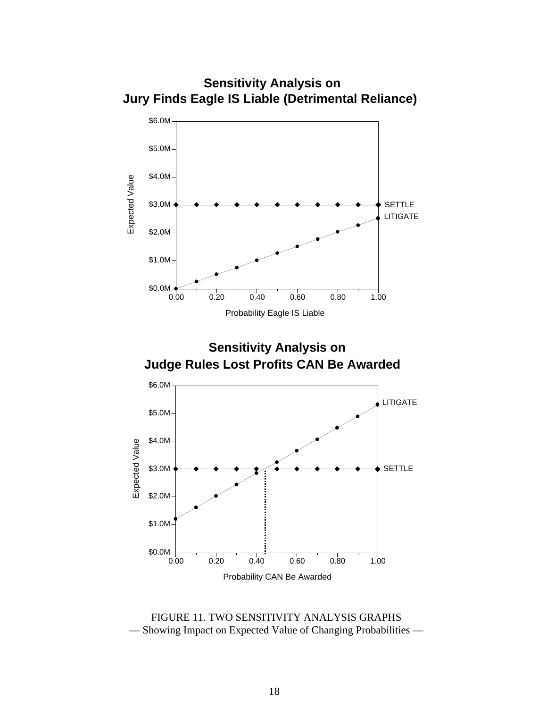

FIGURE 11. TWO SENSITIVITY ANALYSIS GRAPHS — Showing Impact on Expected Value of Changing Probabilities —